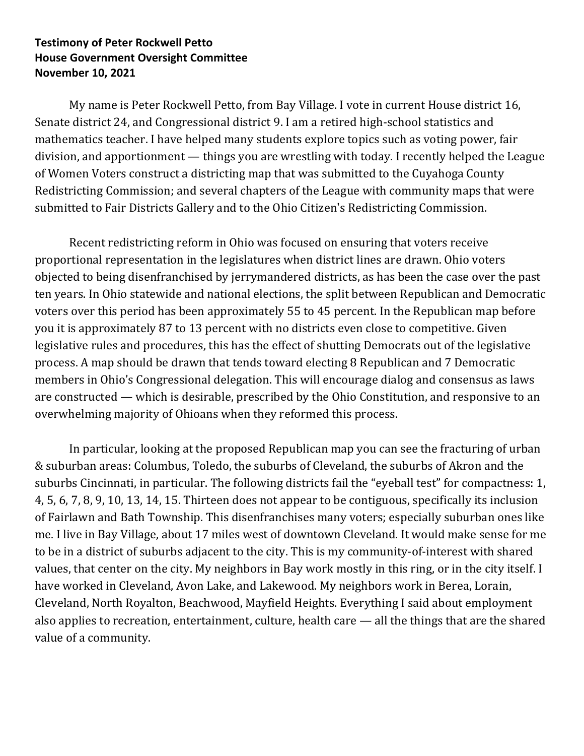## **Testimony of Peter Rockwell Petto House Government Oversight Committee November 10, 2021**

My name is Peter Rockwell Petto, from Bay Village. I vote in current House district 16, Senate district 24, and Congressional district 9. I am a retired high-school statistics and mathematics teacher. I have helped many students explore topics such as voting power, fair division, and apportionment — things you are wrestling with today. I recently helped the League of Women Voters construct a districting map that was submitted to the Cuyahoga County Redistricting Commission; and several chapters of the League with community maps that were submitted to Fair Districts Gallery and to the Ohio Citizen's Redistricting Commission.

Recent redistricting reform in Ohio was focused on ensuring that voters receive proportional representation in the legislatures when district lines are drawn. Ohio voters objected to being disenfranchised by jerrymandered districts, as has been the case over the past ten years. In Ohio statewide and national elections, the split between Republican and Democratic voters over this period has been approximately 55 to 45 percent. In the Republican map before you it is approximately 87 to 13 percent with no districts even close to competitive. Given legislative rules and procedures, this has the effect of shutting Democrats out of the legislative process. A map should be drawn that tends toward electing 8 Republican and 7 Democratic members in Ohio's Congressional delegation. This will encourage dialog and consensus as laws are constructed — which is desirable, prescribed by the Ohio Constitution, and responsive to an overwhelming majority of Ohioans when they reformed this process.

In particular, looking at the proposed Republican map you can see the fracturing of urban & suburban areas: Columbus, Toledo, the suburbs of Cleveland, the suburbs of Akron and the suburbs Cincinnati, in particular. The following districts fail the "eyeball test" for compactness: 1, 4, 5, 6, 7, 8, 9, 10, 13, 14, 15. Thirteen does not appear to be contiguous, specifically its inclusion of Fairlawn and Bath Township. This disenfranchises many voters; especially suburban ones like me. I live in Bay Village, about 17 miles west of downtown Cleveland. It would make sense for me to be in a district of suburbs adjacent to the city. This is my community-of-interest with shared values, that center on the city. My neighbors in Bay work mostly in this ring, or in the city itself. I have worked in Cleveland, Avon Lake, and Lakewood. My neighbors work in Berea, Lorain, Cleveland, North Royalton, Beachwood, Mayfield Heights. Everything I said about employment also applies to recreation, entertainment, culture, health care — all the things that are the shared value of a community.